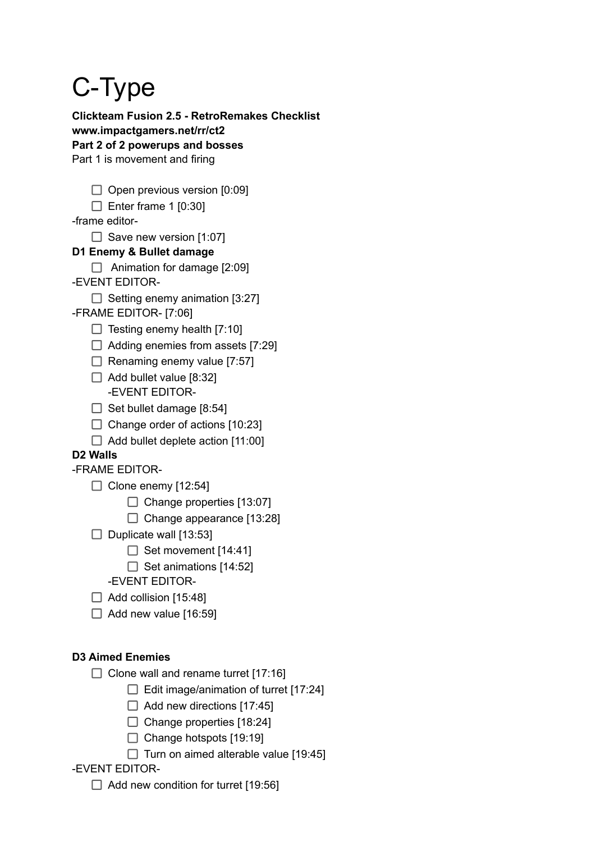# C-Type

**Clickteam Fusion 2.5 - RetroRemakes Checklist www.impactgamers.net/rr/ct2 Part 2 of 2 powerups and bosses** Part 1 is movement and firing

- $\Box$  Open previous version [0:09]
- $\Box$  Enter frame 1 [0:30]

-frame editor-

 $\Box$  Save new version [1:07]

# **D1 Enemy & Bullet damage**

- $\Box$  Animation for damage [2:09]
- -EVENT EDITOR-
	- $\Box$  Setting enemy animation [3:27]
- -FRAME EDITOR- [7:06]
	- $\Box$  Testing enemy health [7:10]
	- $\Box$  Adding enemies from assets [7:29]
	- $\Box$  Renaming enemy value [7:57]
	- $\Box$  Add bullet value [8:32] -EVENT EDITOR-
	- $\Box$  Set bullet damage [8:54]
	- $\Box$  Change order of actions [10:23]
	- $\Box$  Add bullet deplete action [11:00]

# **D2 Walls**

- -FRAME EDITOR-
	- $\Box$  Clone enemy [12:54]
		- $\Box$  Change properties [13:07]
		- $\Box$  Change appearance [13:28]
	- $\Box$  Duplicate wall [13:53]
		- $\Box$  Set movement [14:41]
		- $\Box$  Set animations [14:52]
		- -EVENT EDITOR-
	- $\Box$  Add collision [15:48]
	- $\Box$  Add new value [16:59]

# **D3 Aimed Enemies**

- $\Box$  Clone wall and rename turret [17:16]
	- $\Box$  Edit image/animation of turret [17:24]
	- $\Box$  Add new directions [17:45]
	- $\Box$  Change properties [18:24]
	- $\Box$  Change hotspots [19:19]
	- $\Box$  Turn on aimed alterable value [19:45]

# -EVENT EDITOR-

 $\Box$  Add new condition for turret [19:56]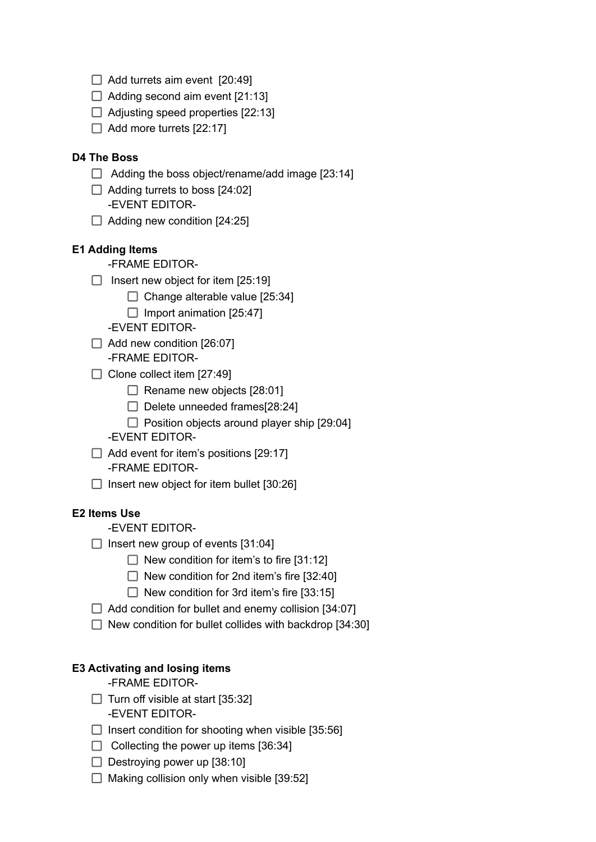- $\Box$  Add turrets aim event [20:49]
- $\Box$  Adding second aim event [21:13]
- $\Box$  Adjusting speed properties [22:13]
- $\Box$  Add more turrets [22:17]

#### **D4 The Boss**

- $\Box$  Adding the boss object/rename/add image [23:14]
- $\Box$  Adding turrets to boss [24:02] -EVENT EDITOR-
- $\Box$  Adding new condition [24:25]

#### **E1 Adding Items**

- -FRAME EDITOR-
- $\Box$  Insert new object for item [25:19]
	- $\Box$  Change alterable value [25:34]
	- $\Box$  Import animation [25:47]
	- -EVENT EDITOR-
- $\Box$  Add new condition [26:07]
	- -FRAME EDITOR-
- $\Box$  Clone collect item [27:49]
	- $\Box$  Rename new objects [28:01]
	- $\Box$  Delete unneeded frames[28:24]
	- $\Box$  Position objects around player ship [29:04]
	- -EVENT EDITOR-
- $\Box$  Add event for item's positions [29:17] -FRAME EDITOR-
- $\Box$  Insert new object for item bullet [30:26]

#### **E2 Items Use**

- -EVENT EDITOR-
- $\Box$  Insert new group of events [31:04]
	- $\Box$  New condition for item's to fire [31:12]
	- $\Box$  New condition for 2nd item's fire [32:40]
	- $\Box$  New condition for 3rd item's fire [33:15]
- $\Box$  Add condition for bullet and enemy collision [34:07]
- $\Box$  New condition for bullet collides with backdrop [34:30]

## **E3 Activating and losing items**

-FRAME EDITOR-

- $\Box$  Turn off visible at start [35:32] -EVENT EDITOR-
- $\Box$  Insert condition for shooting when visible [35:56]
- $\Box$  Collecting the power up items [36:34]
- $\Box$  Destroying power up [38:10]
- $\Box$  Making collision only when visible [39:52]